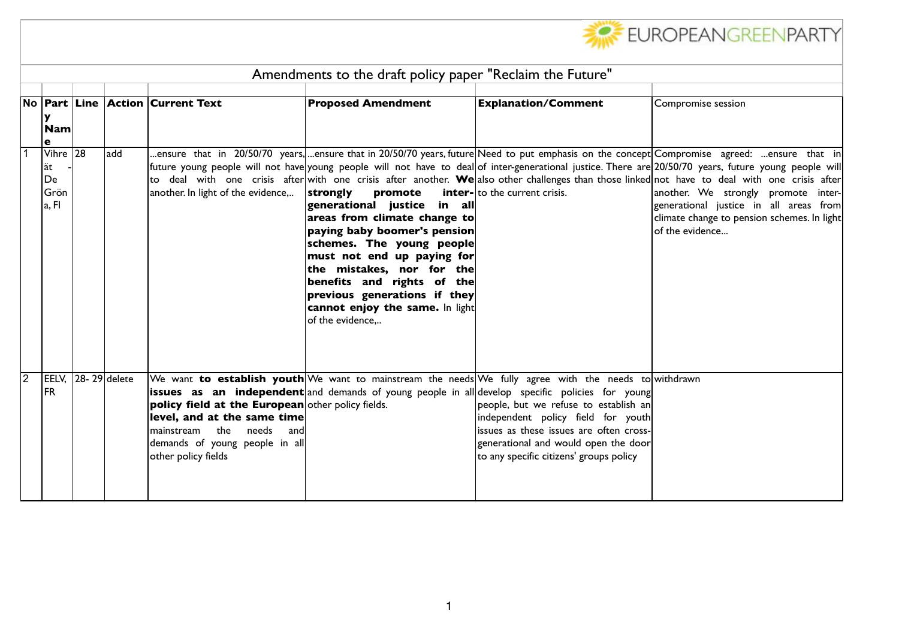

|          | Amendments to the draft policy paper "Reclaim the Future" |  |              |                                                                                                                                                                          |                                                                                                                                                                                                                                                                                                                                    |                                                                                                                                                                                                                                                                                                                                                                                                                       |                                                                                                                                                                                                                                                                                                                                                                                                                                                                                                                                                                                                                |  |
|----------|-----------------------------------------------------------|--|--------------|--------------------------------------------------------------------------------------------------------------------------------------------------------------------------|------------------------------------------------------------------------------------------------------------------------------------------------------------------------------------------------------------------------------------------------------------------------------------------------------------------------------------|-----------------------------------------------------------------------------------------------------------------------------------------------------------------------------------------------------------------------------------------------------------------------------------------------------------------------------------------------------------------------------------------------------------------------|----------------------------------------------------------------------------------------------------------------------------------------------------------------------------------------------------------------------------------------------------------------------------------------------------------------------------------------------------------------------------------------------------------------------------------------------------------------------------------------------------------------------------------------------------------------------------------------------------------------|--|
|          | y<br>$ \mathsf{Nam} $<br>e                                |  |              | No  Part  Line  Action  Current Text                                                                                                                                     | <b>Proposed Amendment</b>                                                                                                                                                                                                                                                                                                          | <b>Explanation/Comment</b>                                                                                                                                                                                                                                                                                                                                                                                            | Compromise session                                                                                                                                                                                                                                                                                                                                                                                                                                                                                                                                                                                             |  |
|          | Vihre 28<br> ät<br> De<br><b>G</b> rön<br> a, FI          |  | ladd         | another. In light of the evidence,                                                                                                                                       | strongly<br>promote<br>generational justice in all<br>areas from climate change to<br>paying baby boomer's pension<br>schemes. The young people<br>must not end up paying for<br>the mistakes, nor for the<br>benefits and rights of the<br>$ $ previous generations if they<br>cannot enjoy the same. In light<br>of the evidence | <b>inter-</b> to the current crisis.                                                                                                                                                                                                                                                                                                                                                                                  | ensure that in 20/50/70 years, ensure that in 20/50/70 years, future Need to put emphasis on the concept Compromise  agreed:  ensure  that  in <br>future young people will not have young people will not have to deal of inter-generational justice. There are 20/50/70 years, future young people will<br>to deal with one crisis after with one crisis after another. We also other challenges than those linked not have to deal with one crisis after<br>another. We strongly promote inter-<br>generational justice in all areas from<br>climate change to pension schemes. In light<br>of the evidence |  |
| <b>2</b> | EELV,<br><b>IFR</b>                                       |  | 28-29 delete | policy field at the European other policy fields.<br>level, and at the same time<br>mainstream the needs<br>and<br>demands of young people in all<br>other policy fields |                                                                                                                                                                                                                                                                                                                                    | We want to establish youth We want to mainstream the needs We fully agree with the needs to withdrawn<br>issues as an independent and demands of young people in all develop specific policies for young<br>people, but we refuse to establish an<br>independent policy field for youth<br>issues as these issues are often cross-<br>generational and would open the door<br>to any specific citizens' groups policy |                                                                                                                                                                                                                                                                                                                                                                                                                                                                                                                                                                                                                |  |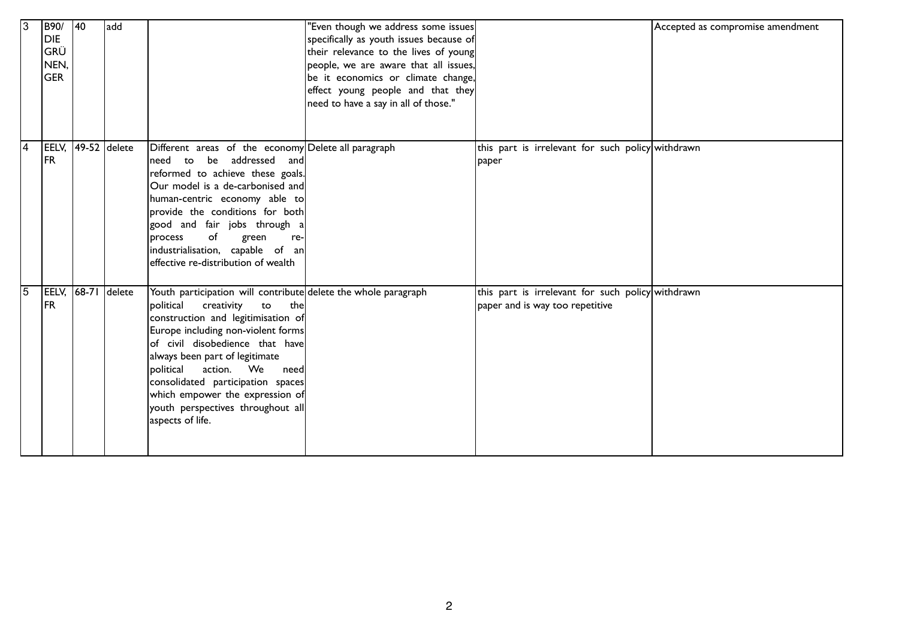| 13             | B90/<br>DIE<br> GRÜ<br>NEN,<br><b>GER</b> | 40    | add          |                                                                                                                                                                                                                                                                                                                                                                                                                              | "Even though we address some issues<br>specifically as youth issues because of<br>their relevance to the lives of young<br>people, we are aware that all issues,<br>be it economics or climate change,<br>effect young people and that they<br>need to have a say in all of those." |                                                                                      | Accepted as compromise amendment |
|----------------|-------------------------------------------|-------|--------------|------------------------------------------------------------------------------------------------------------------------------------------------------------------------------------------------------------------------------------------------------------------------------------------------------------------------------------------------------------------------------------------------------------------------------|-------------------------------------------------------------------------------------------------------------------------------------------------------------------------------------------------------------------------------------------------------------------------------------|--------------------------------------------------------------------------------------|----------------------------------|
| $\overline{4}$ | EELV,<br><b>IFR</b>                       |       | 49-52 delete | Different areas of the economy Delete all paragraph<br>be addressed and<br>need<br>to<br>reformed to achieve these goals.<br>Our model is a de-carbonised and<br>human-centric economy able to<br>provide the conditions for both<br>good and fair jobs through a<br>of<br><b>process</b><br>green<br>re-<br>industrialisation, capable of an<br>effective re-distribution of wealth                                         |                                                                                                                                                                                                                                                                                     | this part is irrelevant for such policy withdrawn<br>paper                           |                                  |
| 15             | EELV,<br><b>IFR</b>                       | 68-71 | delete       | Youth participation will contribute delete the whole paragraph<br>political<br>creativity<br>to<br>the<br>construction and legitimisation of<br>Europe including non-violent forms<br>of civil disobedience that have<br>always been part of legitimate<br>political<br>action. We<br>needl<br>consolidated participation spaces<br>which empower the expression of<br>youth perspectives throughout all<br>aspects of life. |                                                                                                                                                                                                                                                                                     | this part is irrelevant for such policy withdrawn<br>paper and is way too repetitive |                                  |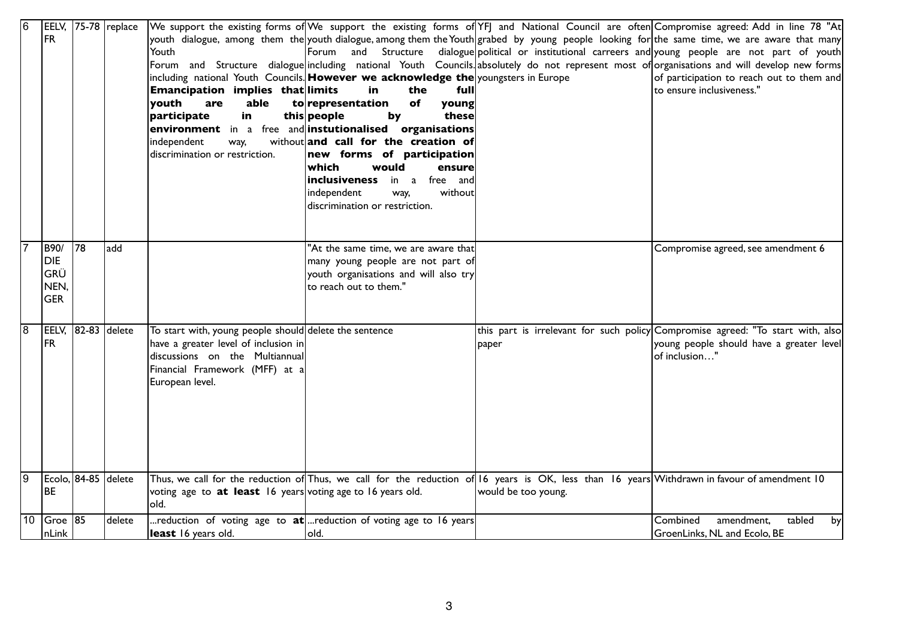| 16 |                    |                     | EELV, 75-78 replace |                                                                    |                                                                                    |                                                                                                                                              | We support the existing forms of We support the existing forms of YFJ and National Council are often Compromise agreed: Add in line 78 "At   |
|----|--------------------|---------------------|---------------------|--------------------------------------------------------------------|------------------------------------------------------------------------------------|----------------------------------------------------------------------------------------------------------------------------------------------|----------------------------------------------------------------------------------------------------------------------------------------------|
|    | FR                 |                     |                     |                                                                    |                                                                                    |                                                                                                                                              | youth dialogue, among them the youth dialogue, among them the Youth grabed by young people looking for the same time, we are aware that many |
|    |                    |                     |                     | Youth                                                              | lForum<br>and                                                                      |                                                                                                                                              | Structure dialogue political or institutional carreers and young people are not part of youth                                                |
|    |                    |                     |                     |                                                                    |                                                                                    |                                                                                                                                              | Forum and Structure dialogue including national Youth Councils absolutely do not represent most of organisations and will develop new forms  |
|    |                    |                     |                     |                                                                    | including national Youth Councils. However we acknowledge the youngsters in Europe |                                                                                                                                              | of participation to reach out to them and                                                                                                    |
|    |                    |                     |                     | Emancipation implies that limits                                   | in<br>the<br>full                                                                  |                                                                                                                                              | to ensure inclusiveness."                                                                                                                    |
|    |                    |                     |                     | youth<br>able<br>are                                               | torepresentation<br>of<br>young                                                    |                                                                                                                                              |                                                                                                                                              |
|    |                    |                     |                     | participate<br>in                                                  | this people<br>by<br>these                                                         |                                                                                                                                              |                                                                                                                                              |
|    |                    |                     |                     |                                                                    | environment in a free and instutionalised organisations                            |                                                                                                                                              |                                                                                                                                              |
|    |                    |                     |                     | independent<br>way,                                                | without and call for the creation of                                               |                                                                                                                                              |                                                                                                                                              |
|    |                    |                     |                     | discrimination or restriction.                                     | new forms of participation                                                         |                                                                                                                                              |                                                                                                                                              |
|    |                    |                     |                     |                                                                    | which<br>would<br>ensure                                                           |                                                                                                                                              |                                                                                                                                              |
|    |                    |                     |                     |                                                                    | inclusiveness<br>free and<br>in a                                                  |                                                                                                                                              |                                                                                                                                              |
|    |                    |                     |                     |                                                                    | without<br>independent<br>way,                                                     |                                                                                                                                              |                                                                                                                                              |
|    |                    |                     |                     |                                                                    | discrimination or restriction.                                                     |                                                                                                                                              |                                                                                                                                              |
|    |                    |                     |                     |                                                                    |                                                                                    |                                                                                                                                              |                                                                                                                                              |
|    |                    |                     |                     |                                                                    |                                                                                    |                                                                                                                                              |                                                                                                                                              |
|    | B90/               | $\overline{178}$    | add                 |                                                                    | "At the same time, we are aware that                                               |                                                                                                                                              | Compromise agreed, see amendment 6                                                                                                           |
|    | <b>DIE</b>         |                     |                     |                                                                    | many young people are not part of                                                  |                                                                                                                                              |                                                                                                                                              |
|    | GRÜ                |                     |                     |                                                                    | youth organisations and will also try                                              |                                                                                                                                              |                                                                                                                                              |
|    | NEN,               |                     |                     |                                                                    | to reach out to them."                                                             |                                                                                                                                              |                                                                                                                                              |
|    | <b>GER</b>         |                     |                     |                                                                    |                                                                                    |                                                                                                                                              |                                                                                                                                              |
|    |                    |                     |                     |                                                                    |                                                                                    |                                                                                                                                              |                                                                                                                                              |
| 8  | EELV, 82-83 delete |                     |                     | To start with, young people should delete the sentence             |                                                                                    |                                                                                                                                              | this part is irrelevant for such policy Compromise agreed: "To start with, also                                                              |
|    | FR                 |                     |                     | have a greater level of inclusion in                               |                                                                                    | paper                                                                                                                                        | young people should have a greater level                                                                                                     |
|    |                    |                     |                     | discussions on the Multiannual                                     |                                                                                    |                                                                                                                                              | of inclusion"                                                                                                                                |
|    |                    |                     |                     | Financial Framework (MFF) at a                                     |                                                                                    |                                                                                                                                              |                                                                                                                                              |
|    |                    |                     |                     | European level.                                                    |                                                                                    |                                                                                                                                              |                                                                                                                                              |
|    |                    |                     |                     |                                                                    |                                                                                    |                                                                                                                                              |                                                                                                                                              |
|    |                    |                     |                     |                                                                    |                                                                                    |                                                                                                                                              |                                                                                                                                              |
|    |                    |                     |                     |                                                                    |                                                                                    |                                                                                                                                              |                                                                                                                                              |
|    |                    |                     |                     |                                                                    |                                                                                    |                                                                                                                                              |                                                                                                                                              |
|    |                    |                     |                     |                                                                    |                                                                                    |                                                                                                                                              |                                                                                                                                              |
|    |                    |                     |                     |                                                                    |                                                                                    |                                                                                                                                              |                                                                                                                                              |
|    |                    |                     |                     |                                                                    |                                                                                    |                                                                                                                                              |                                                                                                                                              |
| 19 |                    | Ecolo, 84-85 delete |                     |                                                                    |                                                                                    | Thus, we call for the reduction of Thus, we call for the reduction of 16 years is OK, less than 16 years Withdrawn in favour of amendment 10 |                                                                                                                                              |
|    | l BE               |                     |                     | voting age to <b>at least</b> 16 years voting age to 16 years old. |                                                                                    | would be too young.                                                                                                                          |                                                                                                                                              |
|    |                    |                     |                     | lold.                                                              |                                                                                    |                                                                                                                                              |                                                                                                                                              |
| 10 | $Groe$ 85          |                     | delete              |                                                                    | reduction of voting age to $at$ reduction of voting age to 16 years                |                                                                                                                                              | Combined<br>amendment,<br>tabled<br>by                                                                                                       |
|    | nLink              |                     |                     | least 16 years old.                                                | lold.                                                                              |                                                                                                                                              | GroenLinks, NL and Ecolo, BE                                                                                                                 |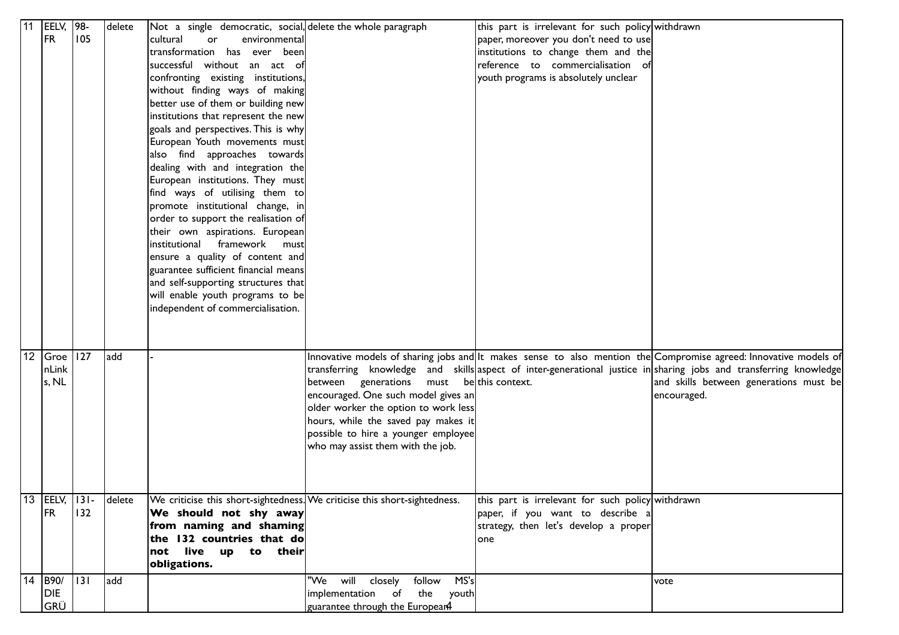| 11 | EELV,                     | 98-             | delete | Not a single democratic, social, delete the whole paragraph                                         |                                           | this part is irrelevant for such policy withdrawn                         |                                                                                                                   |
|----|---------------------------|-----------------|--------|-----------------------------------------------------------------------------------------------------|-------------------------------------------|---------------------------------------------------------------------------|-------------------------------------------------------------------------------------------------------------------|
|    | FR <sub></sub>            | 105             |        | cultural<br>environmental<br>or                                                                     |                                           | paper, moreover you don't need to use                                     |                                                                                                                   |
|    |                           |                 |        | transformation has ever been                                                                        |                                           | institutions to change them and the                                       |                                                                                                                   |
|    |                           |                 |        | successful without an act of                                                                        |                                           | reference to commercialisation of                                         |                                                                                                                   |
|    |                           |                 |        | confronting existing institutions,                                                                  |                                           | youth programs is absolutely unclear                                      |                                                                                                                   |
|    |                           |                 |        | without finding ways of making                                                                      |                                           |                                                                           |                                                                                                                   |
|    |                           |                 |        | better use of them or building new                                                                  |                                           |                                                                           |                                                                                                                   |
|    |                           |                 |        | institutions that represent the new                                                                 |                                           |                                                                           |                                                                                                                   |
|    |                           |                 |        | goals and perspectives. This is why                                                                 |                                           |                                                                           |                                                                                                                   |
|    |                           |                 |        | European Youth movements must                                                                       |                                           |                                                                           |                                                                                                                   |
|    |                           |                 |        | also find approaches towards                                                                        |                                           |                                                                           |                                                                                                                   |
|    |                           |                 |        | dealing with and integration the                                                                    |                                           |                                                                           |                                                                                                                   |
|    |                           |                 |        | European institutions. They must                                                                    |                                           |                                                                           |                                                                                                                   |
|    |                           |                 |        | find ways of utilising them to                                                                      |                                           |                                                                           |                                                                                                                   |
|    |                           |                 |        | promote institutional change, in                                                                    |                                           |                                                                           |                                                                                                                   |
|    |                           |                 |        | order to support the realisation of                                                                 |                                           |                                                                           |                                                                                                                   |
|    |                           |                 |        | their own aspirations. European                                                                     |                                           |                                                                           |                                                                                                                   |
|    |                           |                 |        | framework<br>institutional<br>mustl                                                                 |                                           |                                                                           |                                                                                                                   |
|    |                           |                 |        | ensure a quality of content and                                                                     |                                           |                                                                           |                                                                                                                   |
|    |                           |                 |        | guarantee sufficient financial means                                                                |                                           |                                                                           |                                                                                                                   |
|    |                           |                 |        | and self-supporting structures that                                                                 |                                           |                                                                           |                                                                                                                   |
|    |                           |                 |        | will enable youth programs to be                                                                    |                                           |                                                                           |                                                                                                                   |
|    |                           |                 |        | independent of commercialisation.                                                                   |                                           |                                                                           |                                                                                                                   |
|    |                           |                 |        |                                                                                                     |                                           |                                                                           |                                                                                                                   |
|    |                           |                 |        |                                                                                                     |                                           |                                                                           |                                                                                                                   |
|    |                           |                 |        |                                                                                                     |                                           |                                                                           |                                                                                                                   |
|    | 12   Groe   127           |                 | add    |                                                                                                     |                                           |                                                                           | Innovative models of sharing jobs and It makes sense to also mention the Compromise agreed: Innovative models of  |
|    | nLink                     |                 |        |                                                                                                     |                                           |                                                                           | transferring knowledge and skills aspect of inter-generational justice in sharing jobs and transferring knowledge |
|    | s, NL                     |                 |        |                                                                                                     | between generations must be this context. |                                                                           | and skills between generations must be                                                                            |
|    |                           |                 |        |                                                                                                     | encouraged. One such model gives an       |                                                                           | encouraged.                                                                                                       |
|    |                           |                 |        |                                                                                                     | older worker the option to work less      |                                                                           |                                                                                                                   |
|    |                           |                 |        |                                                                                                     | hours, while the saved pay makes it       |                                                                           |                                                                                                                   |
|    |                           |                 |        |                                                                                                     | possible to hire a younger employee       |                                                                           |                                                                                                                   |
|    |                           |                 |        |                                                                                                     | who may assist them with the job.         |                                                                           |                                                                                                                   |
|    |                           |                 |        |                                                                                                     |                                           |                                                                           |                                                                                                                   |
|    |                           |                 |        |                                                                                                     |                                           |                                                                           |                                                                                                                   |
|    |                           |                 |        |                                                                                                     |                                           |                                                                           |                                                                                                                   |
|    | $13$  EELV,<br><b>IFR</b> | $ 131 -$<br>132 | delete | We criticise this short-sightedness. We criticise this short-sightedness.<br>We should not shy away |                                           | this part is irrelevant for such policy withdrawn                         |                                                                                                                   |
|    |                           |                 |        | from naming and shaming                                                                             |                                           | paper, if you want to describe a<br>strategy, then let's develop a proper |                                                                                                                   |
|    |                           |                 |        | the 132 countries that do                                                                           |                                           | one                                                                       |                                                                                                                   |
|    |                           |                 |        | not live up to their                                                                                |                                           |                                                                           |                                                                                                                   |
|    |                           |                 |        | obligations.                                                                                        |                                           |                                                                           |                                                                                                                   |
|    | 14 B90/                   | $ 131\rangle$   | add    |                                                                                                     | "We will<br>follow MS's<br>closely        |                                                                           | vote                                                                                                              |
|    | DIE                       |                 |        |                                                                                                     | implementation of the youth               |                                                                           |                                                                                                                   |
|    | GRÜ                       |                 |        |                                                                                                     | guarantee through the Europear4           |                                                                           |                                                                                                                   |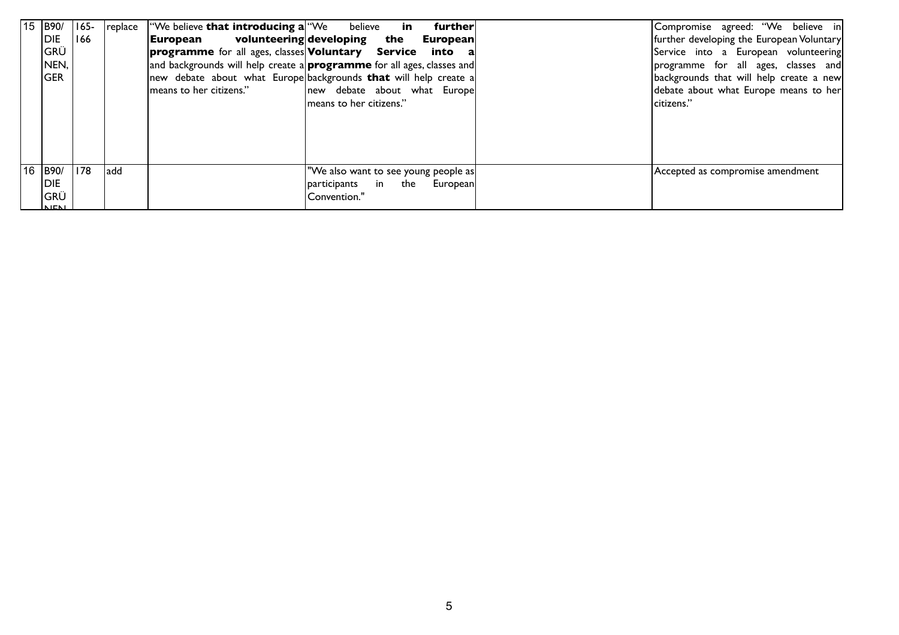| $15$  B90/    | $ 165-$ |      | replace   We believe that introducing a We believe | further<br>in                                                                 | Compromise agreed: "We believe in         |
|---------------|---------|------|----------------------------------------------------|-------------------------------------------------------------------------------|-------------------------------------------|
| IDIE.         | 166     |      | <b> European</b>                                   | volunteering developing the<br><b>European</b>                                | further developing the European Voluntary |
| GRÜ           |         |      |                                                    | <b>programme</b> for all ages, classes <b>Voluntary</b> Service into a        | Service into a European volunteering      |
| NEN,          |         |      |                                                    | and backgrounds will help create a <b>programme</b> for all ages, classes and | programme for all ages, classes and       |
| GER           |         |      |                                                    | new debate about what Europe backgrounds <b>that</b> will help create a       | backgrounds that will help create a new   |
|               |         |      | means to her citizens."                            | new debate about what Europe                                                  | debate about what Europe means to her     |
|               |         |      |                                                    | means to her citizens."                                                       | citizens."                                |
|               |         |      |                                                    |                                                                               |                                           |
|               |         |      |                                                    |                                                                               |                                           |
|               |         |      |                                                    |                                                                               |                                           |
|               |         |      |                                                    |                                                                               |                                           |
| $16$  B90/    | 178     | ladd |                                                    | "We also want to see young people as                                          | Accepted as compromise amendment          |
| <b>DIE</b>    |         |      |                                                    | participants in the European                                                  |                                           |
| GRÜ           |         |      |                                                    | 'Convention."                                                                 |                                           |
| <b>INJENI</b> |         |      |                                                    |                                                                               |                                           |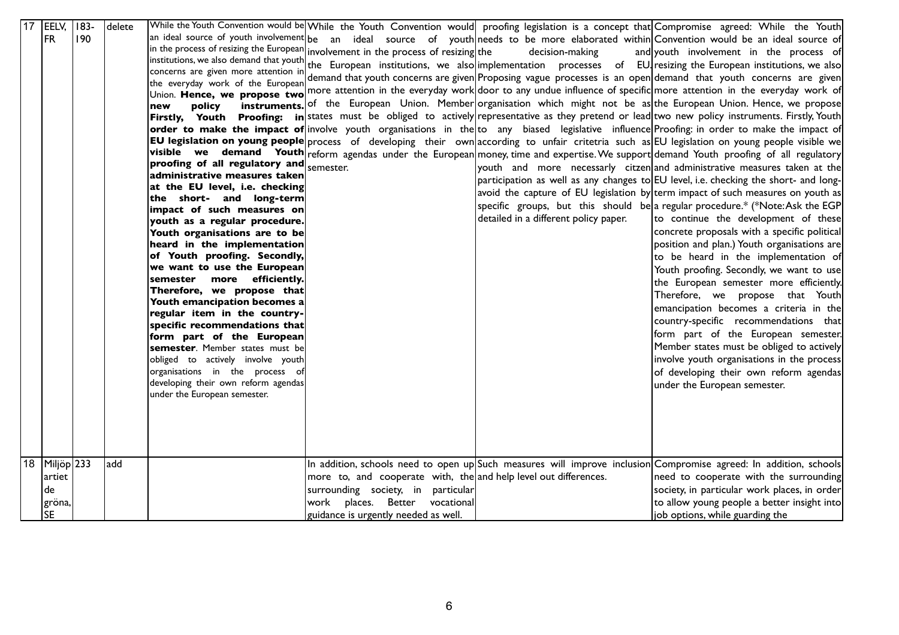|    | 17 EELV, 183- |     | delete |                                                              |                                                                                    |                                       | While the Youth Convention would be While the Youth Convention would proofing legislation is a concept that Compromise agreed: While the Youth                 |
|----|---------------|-----|--------|--------------------------------------------------------------|------------------------------------------------------------------------------------|---------------------------------------|----------------------------------------------------------------------------------------------------------------------------------------------------------------|
|    | <b>FR</b>     | 190 |        |                                                              |                                                                                    |                                       | $ $ an ideal source of youth involvement $ $ be an ideal source of youth $ $ needs to be more elaborated within $ $ Convention would be an ideal source of $ $ |
|    |               |     |        |                                                              | in the process of resizing the European involvement in the process of resizing the | decision-making                       | and youth involvement in the process of                                                                                                                        |
|    |               |     |        |                                                              |                                                                                    |                                       | institutions, we also demand that youth the European institutions, we also implementation processes of EU resizing the European institutions, we also          |
|    |               |     |        | concerns are given more attention in                         |                                                                                    |                                       | demand that youth concerns are given Proposing vague processes is an open demand that youth concerns are given                                                 |
|    |               |     |        | the everyday work of the European                            |                                                                                    |                                       |                                                                                                                                                                |
|    |               |     |        |                                                              |                                                                                    |                                       | Union. Hence, we propose two more attention in the everyday work door to any undue influence of specific more attention in the everyday work of                |
|    |               |     |        | policy<br>new                                                |                                                                                    |                                       | instruments. of the European Union. Member organisation which might not be as the European Union. Hence, we propose                                            |
|    |               |     |        |                                                              |                                                                                    |                                       | Firstly, Youth Proofing: in states must be obliged to actively representative as they pretend or lead two new policy instruments. Firstly, Youth               |
|    |               |     |        |                                                              |                                                                                    |                                       | <b>order to make the impact of</b> involve youth organisations in the to any biased legislative influence Proofing: in order to make the impact of             |
|    |               |     |        |                                                              |                                                                                    |                                       | <b>EU legislation on young people</b> process of developing their own according to unfair critetria such as EU legislation on young people visible we          |
|    |               |     |        |                                                              |                                                                                    |                                       | visible we demand Youth reform agendas under the European money, time and expertise. We support demand Youth proofing of all regulatory                        |
|    |               |     |        | proofing of all regulatory and $_{\text{semester}}$          |                                                                                    |                                       | youth and more necessarly citzen and administrative measures taken at the                                                                                      |
|    |               |     |        | administrative measures taken                                |                                                                                    |                                       | participation as well as any changes to EU level, i.e. checking the short- and long-                                                                           |
|    |               |     |        | at the EU level, i.e. checking                               |                                                                                    |                                       | avoid the capture of EU legislation by term impact of such measures on youth as                                                                                |
|    |               |     |        | the short- and long-term                                     |                                                                                    |                                       | specific groups, but this should be a regular procedure.* (*Note:Ask the EGP                                                                                   |
|    |               |     |        | impact of such measures on                                   |                                                                                    | detailed in a different policy paper. | to continue the development of these                                                                                                                           |
|    |               |     |        | youth as a regular procedure.                                |                                                                                    |                                       |                                                                                                                                                                |
|    |               |     |        | Youth organisations are to be                                |                                                                                    |                                       | concrete proposals with a specific political                                                                                                                   |
|    |               |     |        | heard in the implementation                                  |                                                                                    |                                       | position and plan.) Youth organisations are                                                                                                                    |
|    |               |     |        | of Youth proofing. Secondly,                                 |                                                                                    |                                       | to be heard in the implementation of                                                                                                                           |
|    |               |     |        | we want to use the European                                  |                                                                                    |                                       | Youth proofing. Secondly, we want to use                                                                                                                       |
|    |               |     |        | semester more efficiently.                                   |                                                                                    |                                       | the European semester more efficiently.                                                                                                                        |
|    |               |     |        | Therefore, we propose that                                   |                                                                                    |                                       | Therefore, we propose that Youth                                                                                                                               |
|    |               |     |        | Youth emancipation becomes a                                 |                                                                                    |                                       | emancipation becomes a criteria in the                                                                                                                         |
|    |               |     |        | regular item in the country-                                 |                                                                                    |                                       | country-specific recommendations that                                                                                                                          |
|    |               |     |        | specific recommendations that                                |                                                                                    |                                       | form part of the European semester.                                                                                                                            |
|    |               |     |        | form part of the European<br>semester. Member states must be |                                                                                    |                                       | Member states must be obliged to actively                                                                                                                      |
|    |               |     |        | obliged to actively involve youth                            |                                                                                    |                                       | involve youth organisations in the process                                                                                                                     |
|    |               |     |        | organisations in the process of                              |                                                                                    |                                       |                                                                                                                                                                |
|    |               |     |        | developing their own reform agendas                          |                                                                                    |                                       | of developing their own reform agendas                                                                                                                         |
|    |               |     |        | under the European semester.                                 |                                                                                    |                                       | under the European semester.                                                                                                                                   |
|    |               |     |        |                                                              |                                                                                    |                                       |                                                                                                                                                                |
|    |               |     |        |                                                              |                                                                                    |                                       |                                                                                                                                                                |
|    |               |     |        |                                                              |                                                                                    |                                       |                                                                                                                                                                |
|    |               |     |        |                                                              |                                                                                    |                                       |                                                                                                                                                                |
|    |               |     |        |                                                              |                                                                                    |                                       |                                                                                                                                                                |
| 18 | $Miljöp$ 233  |     | add    |                                                              |                                                                                    |                                       | In addition, schools need to open up Such measures will improve inclusion Compromise agreed: In addition, schools                                              |
|    | artiet        |     |        |                                                              | more to, and cooperate with, the and help level out differences.                   |                                       | need to cooperate with the surrounding                                                                                                                         |
|    | de            |     |        |                                                              | surrounding society, in particular                                                 |                                       | society, in particular work places, in order                                                                                                                   |
|    |               |     |        |                                                              |                                                                                    |                                       |                                                                                                                                                                |
|    | gröna,        |     |        |                                                              | places. Better vocational<br>work                                                  |                                       | to allow young people a better insight into                                                                                                                    |
|    | <b>SE</b>     |     |        |                                                              | guidance is urgently needed as well.                                               |                                       | job options, while guarding the                                                                                                                                |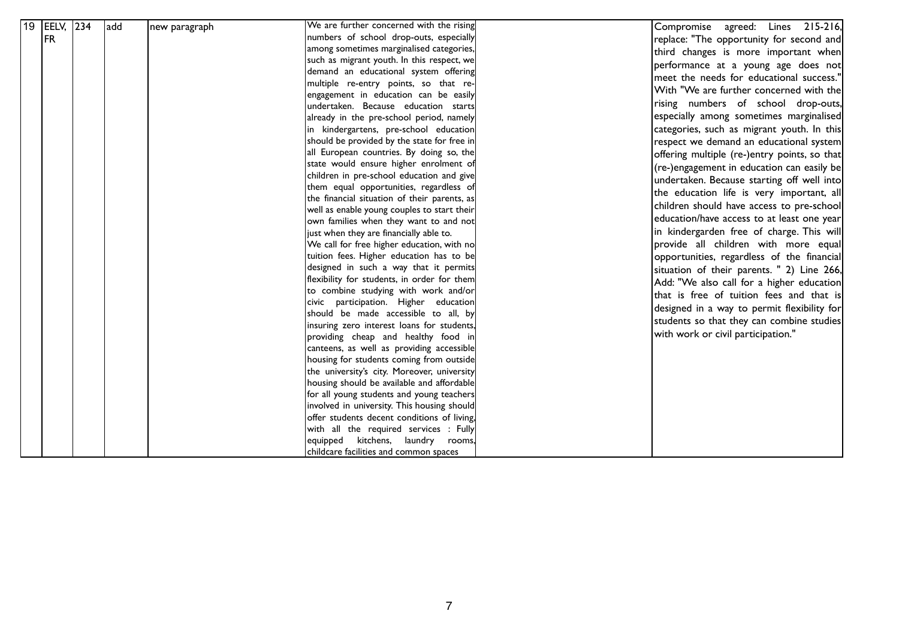| 19 EELV, 234<br>FR. | add | new paragraph | We are further concerned with the rising<br>numbers of school drop-outs, especially<br>among sometimes marginalised categories,<br>such as migrant youth. In this respect, we<br>demand an educational system offering<br>multiple re-entry points, so that re-<br>engagement in education can be easily<br>undertaken. Because education starts<br>already in the pre-school period, namely<br>in kindergartens, pre-school education<br>should be provided by the state for free in<br>all European countries. By doing so, the<br>state would ensure higher enrolment of<br>children in pre-school education and give<br>them equal opportunities, regardless of<br>the financial situation of their parents, as<br>well as enable young couples to start their<br>own families when they want to and not<br>just when they are financially able to.<br>We call for free higher education, with no<br>tuition fees. Higher education has to be<br>designed in such a way that it permits<br>flexibility for students, in order for them<br>to combine studying with work and/or<br>civic participation. Higher education<br>should be made accessible to all, by<br>insuring zero interest loans for students,<br>providing cheap and healthy food in<br>canteens, as well as providing accessible | agreed: Lines 215-216,<br>Compromise<br>replace: "The opportunity for second and<br>third changes is more important when<br>performance at a young age does not<br>meet the needs for educational success."<br>With "We are further concerned with the<br>rising numbers of school drop-outs,<br>especially among sometimes marginalised<br>categories, such as migrant youth. In this<br>respect we demand an educational system<br>offering multiple (re-)entry points, so that<br>(re-)engagement in education can easily be<br>undertaken. Because starting off well into<br>the education life is very important, all<br>children should have access to pre-school<br>education/have access to at least one year<br>in kindergarden free of charge. This will<br>provide all children with more equal<br>opportunities, regardless of the financial<br>situation of their parents. " 2) Line 266,<br>Add: "We also call for a higher education<br>with work or civil participation." |
|---------------------|-----|---------------|-------------------------------------------------------------------------------------------------------------------------------------------------------------------------------------------------------------------------------------------------------------------------------------------------------------------------------------------------------------------------------------------------------------------------------------------------------------------------------------------------------------------------------------------------------------------------------------------------------------------------------------------------------------------------------------------------------------------------------------------------------------------------------------------------------------------------------------------------------------------------------------------------------------------------------------------------------------------------------------------------------------------------------------------------------------------------------------------------------------------------------------------------------------------------------------------------------------------------------------------------------------------------------------------------------|-------------------------------------------------------------------------------------------------------------------------------------------------------------------------------------------------------------------------------------------------------------------------------------------------------------------------------------------------------------------------------------------------------------------------------------------------------------------------------------------------------------------------------------------------------------------------------------------------------------------------------------------------------------------------------------------------------------------------------------------------------------------------------------------------------------------------------------------------------------------------------------------------------------------------------------------------------------------------------------------|
|                     |     |               | housing for students coming from outside<br>the university's city. Moreover, university<br>housing should be available and affordable<br>for all young students and young teachers<br>involved in university. This housing should<br>offer students decent conditions of living,<br>with all the required services : Fully<br>equipped kitchens, laundry rooms,<br>childcare facilities and common spaces                                                                                                                                                                                                                                                                                                                                                                                                                                                                                                                                                                                                                                                                                                                                                                                                                                                                                             | that is free of tuition fees and that is<br>designed in a way to permit flexibility for<br>students so that they can combine studies                                                                                                                                                                                                                                                                                                                                                                                                                                                                                                                                                                                                                                                                                                                                                                                                                                                      |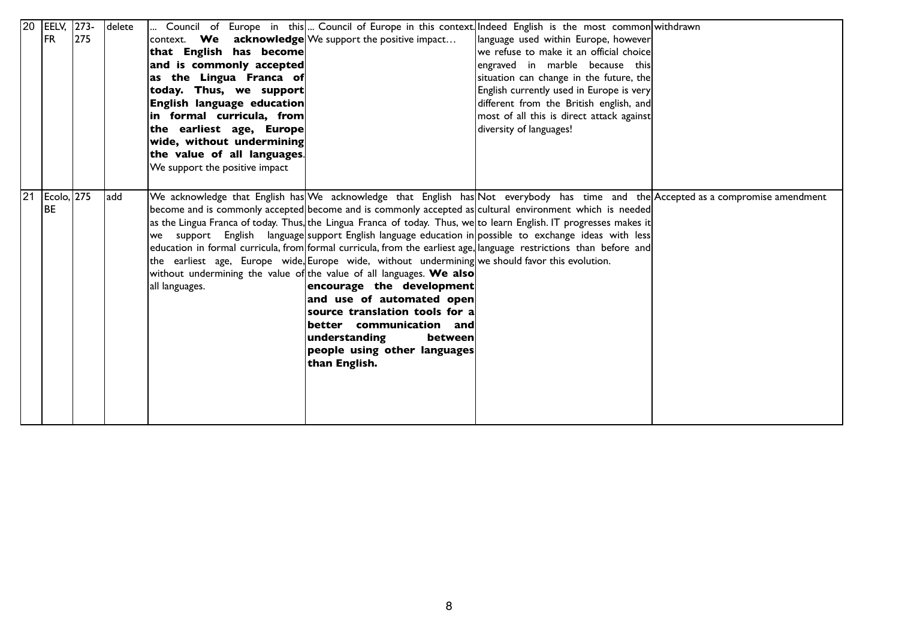|    | $\overline{20}$  EELV, | $ 273-$ | delete | Council of Europe in this Council of Europe in this context. Indeed English is the most common withdrawn                          |
|----|------------------------|---------|--------|-----------------------------------------------------------------------------------------------------------------------------------|
|    | FR.                    | 275     |        | context. We acknowledge We support the positive impact<br>language used within Europe, however                                    |
|    |                        |         |        | that English has become<br>we refuse to make it an official choice                                                                |
|    |                        |         |        | and is commonly accepted<br>engraved in marble because this                                                                       |
|    |                        |         |        | as the Lingua Franca of<br>situation can change in the future, the                                                                |
|    |                        |         |        | English currently used in Europe is very<br>today. Thus, we support                                                               |
|    |                        |         |        | English language education<br>different from the British english, and                                                             |
|    |                        |         |        | in formal curricula, from<br>most of all this is direct attack against                                                            |
|    |                        |         |        | the earliest age, Europe<br>diversity of languages!                                                                               |
|    |                        |         |        | wide, without undermining                                                                                                         |
|    |                        |         |        | the value of all languages.                                                                                                       |
|    |                        |         |        | We support the positive impact                                                                                                    |
|    |                        |         |        |                                                                                                                                   |
| 21 | Ecolo, 275             |         | add    | We acknowledge that English has We acknowledge that English has Not everybody has time and the Accepted as a compromise amendment |
|    | l BE                   |         |        | become and is commonly accepted become and is commonly accepted as cultural environment which is needed                           |
|    |                        |         |        | as the Lingua Franca of today. Thus, the Lingua Franca of today. Thus, we to learn English. IT progresses makes it                |
|    |                        |         |        | support English language support English language education in possible to exchange ideas with less<br>we                         |
|    |                        |         |        | education in formal curricula, from formal curricula, from the earliest age, language restrictions than before and                |
|    |                        |         |        | the earliest age, Europe wide, Europe wide, without undermining we should favor this evolution.                                   |
|    |                        |         |        | without undermining the value of the value of all languages. We also                                                              |
|    |                        |         |        | encourage the development<br>all languages.                                                                                       |
|    |                        |         |        | and use of automated open                                                                                                         |
|    |                        |         |        | source translation tools for a                                                                                                    |
|    |                        |         |        | $\left\vert \mathbf{better}\quad$ communication $\left\vert \mathbf{and}\right\vert$                                              |
|    |                        |         |        | understanding<br>between                                                                                                          |
|    |                        |         |        | people using other languages                                                                                                      |
|    |                        |         |        | than English.                                                                                                                     |
|    |                        |         |        |                                                                                                                                   |
|    |                        |         |        |                                                                                                                                   |
|    |                        |         |        |                                                                                                                                   |
|    |                        |         |        |                                                                                                                                   |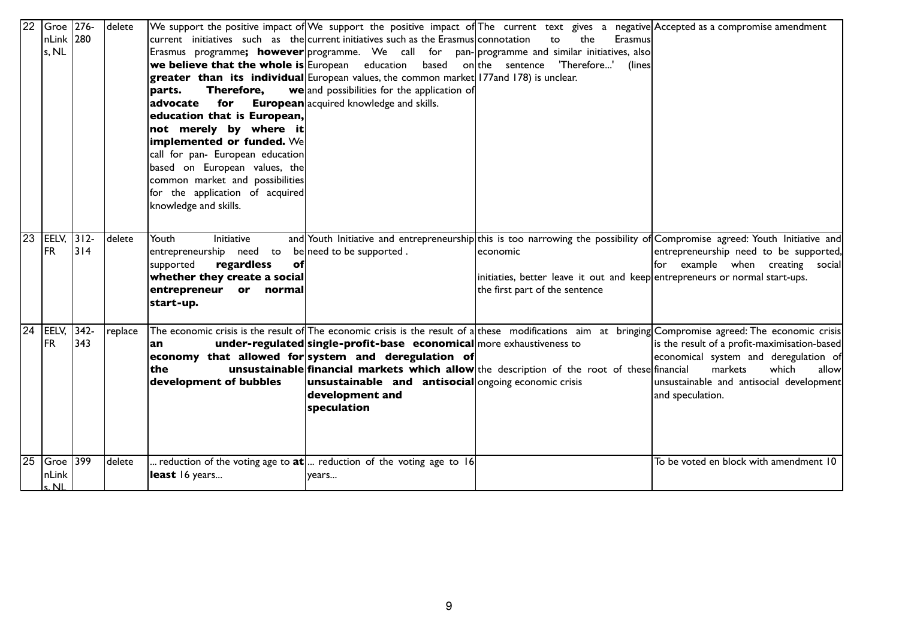| 22 | Groe 276-             |          | delete  |                                  |                                                                                         |                                                                                                       | We support the positive impact of We support the positive impact of The current text gives a negative Accepted as a compromise amendment               |
|----|-----------------------|----------|---------|----------------------------------|-----------------------------------------------------------------------------------------|-------------------------------------------------------------------------------------------------------|--------------------------------------------------------------------------------------------------------------------------------------------------------|
|    | nLink 280             |          |         |                                  | $ current$ initiatives such as the current initiatives such as the Erasmus connotation  | the<br>Erasmus<br>to                                                                                  |                                                                                                                                                        |
|    | s, NL                 |          |         |                                  |                                                                                         | Erasmus programme <b>; however</b> programme. We call for pan-programme and similar initiatives, also |                                                                                                                                                        |
|    |                       |          |         |                                  | <b>we believe that the whole is</b> European education based on the sentence            | 'Therefore'<br>(lines)                                                                                |                                                                                                                                                        |
|    |                       |          |         |                                  | greater than its individual European values, the common market 177 and 178) is unclear. |                                                                                                       |                                                                                                                                                        |
|    |                       |          |         | Therefore.<br>parts.             | we and possibilities for the application of                                             |                                                                                                       |                                                                                                                                                        |
|    |                       |          |         | for<br>advocate                  | <b>European</b> acquired knowledge and skills.                                          |                                                                                                       |                                                                                                                                                        |
|    |                       |          |         | education that is European,      |                                                                                         |                                                                                                       |                                                                                                                                                        |
|    |                       |          |         | not merely by where it           |                                                                                         |                                                                                                       |                                                                                                                                                        |
|    |                       |          |         | implemented or funded. We        |                                                                                         |                                                                                                       |                                                                                                                                                        |
|    |                       |          |         | call for pan- European education |                                                                                         |                                                                                                       |                                                                                                                                                        |
|    |                       |          |         | based on European values, the    |                                                                                         |                                                                                                       |                                                                                                                                                        |
|    |                       |          |         | common market and possibilities  |                                                                                         |                                                                                                       |                                                                                                                                                        |
|    |                       |          |         | for the application of acquired  |                                                                                         |                                                                                                       |                                                                                                                                                        |
|    |                       |          |         | knowledge and skills.            |                                                                                         |                                                                                                       |                                                                                                                                                        |
|    |                       |          |         |                                  |                                                                                         |                                                                                                       |                                                                                                                                                        |
| 23 |                       |          | delete  | Youth<br><b>Initiative</b>       |                                                                                         |                                                                                                       | and Youth Initiative and entrepreneurship this is too narrowing the possibility of Compromise agreed: Youth Initiative and                             |
|    | <b>FR</b>             | $314$    |         | entrepreneurship need to         | beneed to be supported.                                                                 | leconomic                                                                                             | entrepreneurship need to be supported,                                                                                                                 |
|    |                       |          |         | regardless<br>supported<br>оf    |                                                                                         |                                                                                                       | for example when creating social                                                                                                                       |
|    |                       |          |         | whether they create a social     |                                                                                         | initiaties, better leave it out and keep entrepreneurs or normal start-ups.                           |                                                                                                                                                        |
|    |                       |          |         | entrepreneur or normal           |                                                                                         | the first part of the sentence                                                                        |                                                                                                                                                        |
|    |                       |          |         | start-up.                        |                                                                                         |                                                                                                       |                                                                                                                                                        |
|    |                       |          |         |                                  |                                                                                         |                                                                                                       |                                                                                                                                                        |
| 24 | EELV,                 | $ 342 -$ | replace |                                  |                                                                                         |                                                                                                       | The economic crisis is the result of The economic crisis is the result of a these modifications aim at bringing Compromise agreed: The economic crisis |
|    | <b>FR</b>             | 343      |         | an                               | under-regulated single-profit-base economical more exhaustiveness to                    |                                                                                                       | is the result of a profit-maximisation-based                                                                                                           |
|    |                       |          |         |                                  | economy that allowed for system and deregulation of                                     |                                                                                                       | economical system and deregulation of                                                                                                                  |
|    |                       |          |         | the                              |                                                                                         | unsustainable financial markets which allow the description of the root of these financial            | markets<br>which<br>allow                                                                                                                              |
|    |                       |          |         | development of bubbles           | unsustainable and antisocial ongoing economic crisis                                    |                                                                                                       | unsustainable and antisocial development                                                                                                               |
|    |                       |          |         |                                  | development and                                                                         |                                                                                                       | and speculation.                                                                                                                                       |
|    |                       |          |         |                                  | speculation                                                                             |                                                                                                       |                                                                                                                                                        |
|    |                       |          |         |                                  |                                                                                         |                                                                                                       |                                                                                                                                                        |
|    |                       |          |         |                                  |                                                                                         |                                                                                                       |                                                                                                                                                        |
|    |                       |          |         |                                  |                                                                                         |                                                                                                       |                                                                                                                                                        |
| 25 | $G$ roe $ 399\rangle$ |          | delete  |                                  | . reduction of the voting age to $\text{at} $ reduction of the voting age to 16         |                                                                                                       | To be voted en block with amendment 10                                                                                                                 |
|    | nLink                 |          |         | least 16 years                   | years                                                                                   |                                                                                                       |                                                                                                                                                        |
|    | ะ NI                  |          |         |                                  |                                                                                         |                                                                                                       |                                                                                                                                                        |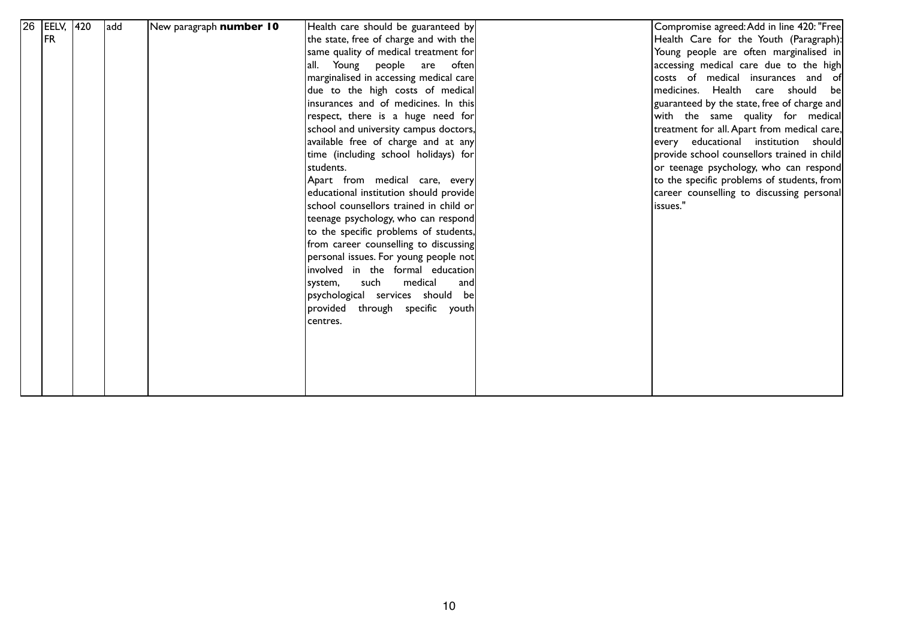| $26$ EELV, | 420 | ladd |                         |                                        | Compromise agreed: Add in line 420: "Free   |
|------------|-----|------|-------------------------|----------------------------------------|---------------------------------------------|
| <b>IFR</b> |     |      | New paragraph number 10 | Health care should be guaranteed by    |                                             |
|            |     |      |                         | the state, free of charge and with the | Health Care for the Youth (Paragraph):      |
|            |     |      |                         | same quality of medical treatment for  | Young people are often marginalised in      |
|            |     |      |                         | all. Young people are often            | accessing medical care due to the high      |
|            |     |      |                         | marginalised in accessing medical care | costs of medical insurances and of          |
|            |     |      |                         | due to the high costs of medical       | medicines. Health care should be            |
|            |     |      |                         | insurances and of medicines. In this   | guaranteed by the state, free of charge and |
|            |     |      |                         | respect, there is a huge need for      | with the same quality for medical           |
|            |     |      |                         | school and university campus doctors,  | treatment for all. Apart from medical care, |
|            |     |      |                         | available free of charge and at any    | every educational institution should        |
|            |     |      |                         | time (including school holidays) for   | provide school counsellors trained in child |
|            |     |      |                         | students.                              | or teenage psychology, who can respond      |
|            |     |      |                         | Apart from medical care, every         | to the specific problems of students, from  |
|            |     |      |                         | educational institution should provide | career counselling to discussing personal   |
|            |     |      |                         | school counsellors trained in child or | issues."                                    |
|            |     |      |                         | teenage psychology, who can respond    |                                             |
|            |     |      |                         | to the specific problems of students,  |                                             |
|            |     |      |                         | from career counselling to discussing  |                                             |
|            |     |      |                         | personal issues. For young people not  |                                             |
|            |     |      |                         | involved in the formal education       |                                             |
|            |     |      |                         | medical<br>such<br>system,<br>andl     |                                             |
|            |     |      |                         | psychological services should be       |                                             |
|            |     |      |                         | provided through specific youth        |                                             |
|            |     |      |                         |                                        |                                             |
|            |     |      |                         | centres.                               |                                             |
|            |     |      |                         |                                        |                                             |
|            |     |      |                         |                                        |                                             |
|            |     |      |                         |                                        |                                             |
|            |     |      |                         |                                        |                                             |
|            |     |      |                         |                                        |                                             |